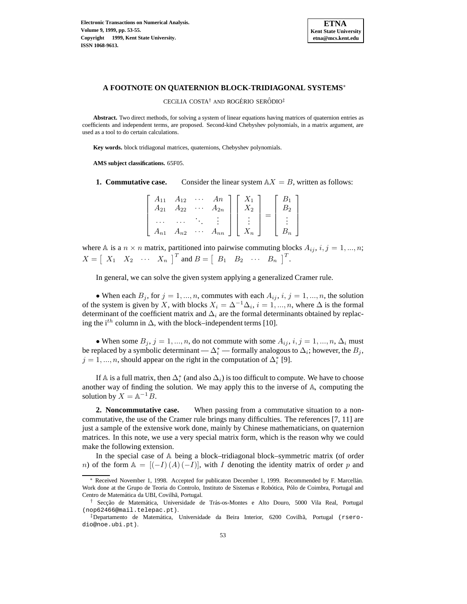

## **A FOOTNOTE ON QUATERNION BLOCK-TRIDIAGONAL SYSTEMS**<sup>∗</sup>

CECíLIA COSTA<sup>†</sup> AND ROGÉRIO SERÔDIO<sup>‡</sup>

**Abstract.** Two direct methods, for solving a system of linear equations having matrices of quaternion entries as coefficients and independent terms, are proposed. Second-kind Chebyshev polynomials, in a matrix argument, are used as a tool to do certain calculations.

**Key words.** block tridiagonal matrices, quaternions, Chebyshev polynomials.

**AMS subject classifications.** 65F05.

**1. Commutative case.** Consider the linear system  $AX = B$ , written as follows:

|          | $A_{11}$ $A_{12}$ |             | $An \mid X_1$    |       |                |
|----------|-------------------|-------------|------------------|-------|----------------|
| $A_{21}$ | $A_{22}$          | $\ldots$ .  | $A_{2n}$         | $X_2$ | B <sub>2</sub> |
|          |                   |             |                  |       |                |
| $A_{n1}$ | $A_{n2}$          | $\sim 1000$ | $A_{nn}$   $X_n$ |       | $B_n$          |

where A is a  $n \times n$  matrix, partitioned into pairwise commuting blocks  $A_{ij}$ ,  $i, j = 1, ..., n$ ;  $X = \begin{bmatrix} X_1 & X_2 & \cdots & X_n \end{bmatrix}^T$  and  $B = \begin{bmatrix} B_1 & B_2 & \cdots & B_n \end{bmatrix}^T$ .

In general, we can solve the given system applying a generalized Cramer rule.

• When each  $B_j$ , for  $j = 1, ..., n$ , commutes with each  $A_{ij}$ ,  $i, j = 1, ..., n$ , the solution of the system is given by X, with blocks  $X_i = \Delta^{-1} \Delta_i$ ,  $i = 1, ..., n$ , where  $\Delta$  is the formal determinant of the coefficient matrix and  $\Delta_i$  are the formal determinants obtained by replacing the i<sup>th</sup> column in  $\Delta$ , with the block–independent terms [10].

• When some  $B_j$ ,  $j = 1, ..., n$ , do not commute with some  $A_{ij}$ ,  $i, j = 1, ..., n$ ,  $\Delta_i$  must be replaced by a symbolic determinant —  $\Delta_i^*$  — formally analogous to  $\Delta_i;$  however, the  $B_j,$  $j = 1, ..., n$ , should appear on the right in the computation of  $\Delta_i^*$  [9].

If  $\mathbb A$  is a full matrix, then  $\Delta^*_i$  (and also  $\Delta_i$ ) is too difficult to compute. We have to choose another way of finding the solution. We may apply this to the inverse of  $\mathbb{A}$ , computing the solution by  $X = \mathbb{A}^{-1}B$ .

**2. Noncommutative case.** When passing from a commutative situation to a noncommutative, the use of the Cramer rule brings many difficulties. The references [7, 11] are just a sample of the extensive work done, mainly by Chinese mathematicians, on quaternion matrices. In this note, we use a very special matrix form, which is the reason why we could make the following extension.

In the special case of  $A$  being a block–tridiagonal block–symmetric matrix (of order n) of the form  $A = [(-I) (A) (-I)]$ , with I denoting the identity matrix of order p and

Received November 1, 1998. Accepted for publicaton December 1, 1999. Recommended by F. Marcellán. Work done at the Grupo de Teoria do Controlo, Instituto de Sistemas e Robótica, Pólo de Coimbra, Portugal and Centro de Matemática da UBI, Covilhã, Portugal.

<sup>&</sup>lt;sup>†</sup> Secção de Matemática, Universidade de Trás-os-Montes e Alto Douro, 5000 Vila Real, Portugal (nop62466@mail.telepac.pt).

<sup>‡</sup>Departamento de Matem´atica, Universidade da Beira Interior, 6200 Covilh˜a, Portugal (rserodio@noe.ubi.pt).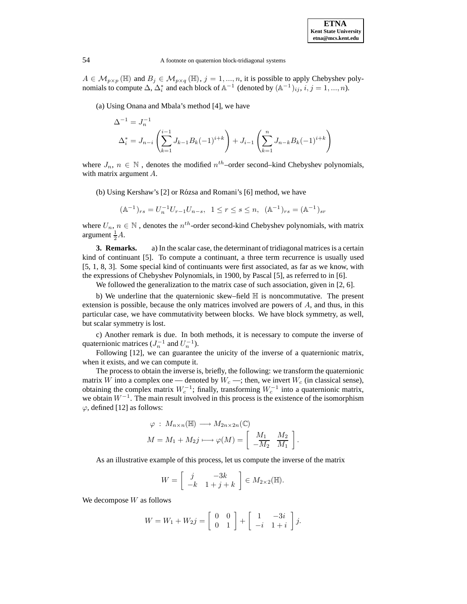## 54 A footnote on quaternion block-tridiagonal systems

 $A \in \mathcal{M}_{p \times p} (\mathbb{H})$  and  $B_j \in \mathcal{M}_{p \times q} (\mathbb{H}), j = 1, ..., n$ , it is possible to apply Chebyshev polynomials to compute  $\Delta$ ,  $\Delta_i^*$  and each block of  $\mathbb{A}^{-1}$  (denoted by  $(\mathbb{A}^{-1})_{ij}$ ,  $i, j = 1, ..., n$ ).

(a) Using Onana and Mbala's method [4], we have

$$
\Delta^{-1} = J_n^{-1}
$$
  

$$
\Delta_i^* = J_{n-i} \left( \sum_{k=1}^{i-1} J_{k-1} B_k (-1)^{i+k} \right) + J_{i-1} \left( \sum_{k=1}^n J_{n-k} B_k (-1)^{i+k} \right)
$$

where  $J_n$ ,  $n \in \mathbb{N}$ , denotes the modified  $n^{th}$ –order second–kind Chebyshev polynomials, with matrix argument A.

(b) Using Kershaw's [2] or Rózsa and Romani's [6] method, we have

$$
(\mathbb{A}^{-1})_{rs} = U_n^{-1} U_{r-1} U_{n-s}, \ \ 1 \le r \le s \le n, \ \ (\mathbb{A}^{-1})_{rs} = (\mathbb{A}^{-1})_{sr}
$$

where  $U_n$ ,  $n \in \mathbb{N}$ , denotes the  $n^{th}$ -order second-kind Chebyshev polynomials, with matrix argument  $\frac{1}{2}A$ .

**3. Remarks.** a) In the scalar case, the determinant of tridiagonal matrices is a certain kind of continuant [5]. To compute a continuant, a three term recurrence is usually used [5, 1, 8, 3]. Some special kind of continuants were first associated, as far as we know, with the expressions of Chebyshev Polynomials, in 1900, by Pascal [5], as referred to in [6].

We followed the generalization to the matrix case of such association, given in [2, 6].

b) We underline that the quaternionic skew–field  $\mathbb H$  is noncommutative. The present extension is possible, because the only matrices involved are powers of A, and thus, in this particular case, we have commutativity between blocks. We have block symmetry, as well, but scalar symmetry is lost.

c) Another remark is due. In both methods, it is necessary to compute the inverse of quaternionic matrices  $(J_n^{-1}$  and  $U_n^{-1}$ ).

Following [12], we can guarantee the unicity of the inverse of a quaternionic matrix, when it exists, and we can compute it.

The process to obtain the inverse is, briefly, the following: we transform the quaternionic matrix W into a complex one — denoted by  $W_c$  —; then, we invert  $W_c$  (in classical sense), obtaining the complex matrix  $W_c^{-1}$ ; finally, transforming  $W_c^{-1}$  into a quaternionic matrix, we obtain  $W^{-1}$ . The main result involved in this process is the existence of the isomorphism  $\varphi$ , defined [12] as follows:

$$
\varphi: M_{n \times n}(\mathbb{H}) \longrightarrow M_{2n \times 2n}(\mathbb{C})
$$

$$
M = M_1 + M_2 j \longmapsto \varphi(M) = \left[ \begin{array}{cc} M_1 & M_2 \\ -M_2 & M_1 \end{array} \right].
$$

As an illustrative example of this process, let us compute the inverse of the matrix

$$
W = \left[ \begin{array}{cc} j & -3k \\ -k & 1+j+k \end{array} \right] \in M_{2 \times 2}(\mathbb{H}).
$$

We decompose  $W$  as follows

$$
W = W_1 + W_2 j = \begin{bmatrix} 0 & 0 \\ 0 & 1 \end{bmatrix} + \begin{bmatrix} 1 & -3i \\ -i & 1+i \end{bmatrix} j.
$$